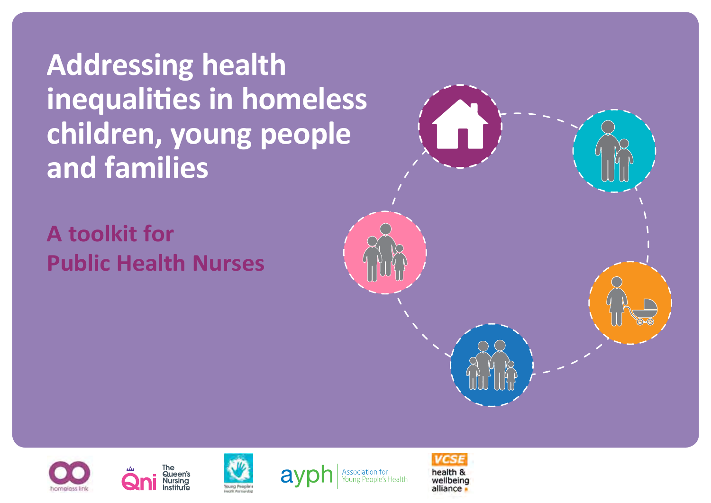**Addressing health inequalities in homeless children, young people and families**

**A toolkit for Public Health Nurses**











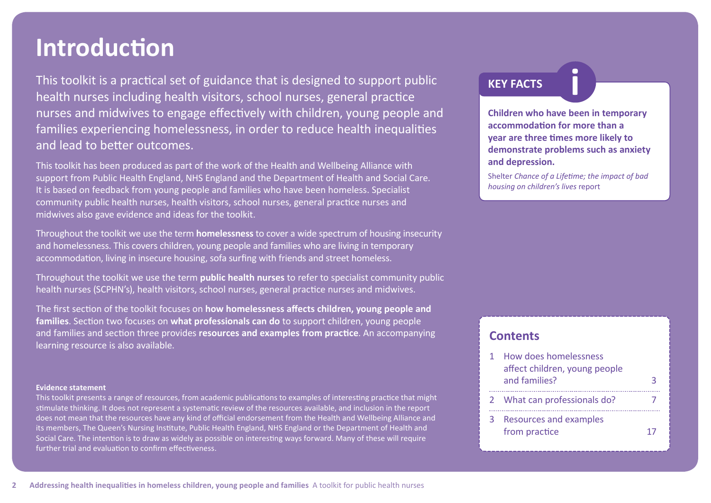# **Introduction**

This toolkit is a practical set of guidance that is designed to support public health nurses including health visitors, school nurses, general practice nurses and midwives to engage effectively with children, young people and families experiencing homelessness, in order to reduce health inequalities and lead to better outcomes.

This toolkit has been produced as part of the work of the Health and Wellbeing Alliance with support from Public Health England, NHS England and the Department of Health and Social Care. It is based on feedback from young people and families who have been homeless. Specialist community public health nurses, health visitors, school nurses, general practice nurses and midwives also gave evidence and ideas for the toolkit.

Throughout the toolkit we use the term **homelessness** to cover a wide spectrum of housing insecurity and homelessness. This covers children, young people and families who are living in temporary accommodation, living in insecure housing, sofa surfing with friends and street homeless.

Throughout the toolkit we use the term **public health nurses** to refer to specialist community public health nurses (SCPHN's), health visitors, school nurses, general practice nurses and midwives.

The first section of the toolkit focuses on **[how homelessness affects children, young people and](#page-2-0)  families**. Section two focuses on **[what professionals can do](#page-6-0)** to support children, young people and families and section three provides **[resources and examples from practice](#page-16-0)**. An accompanying learning resource is also available.

#### **Evidence statement**

This toolkit presents a range of resources, from academic publications to examples of interesting practice that might stimulate thinking. It does not represent a systematic review of the resources available, and inclusion in the report does not mean that the resources have any kind of official endorsement from the Health and Wellbeing Alliance and its members, The Queen's Nursing Institute, Public Health England, NHS England or the Department of Health and Social Care. The intention is to draw as widely as possible on interesting ways forward. Many of these will require further trial and evaluation to confirm effectiveness.

## **KEY FACTS i**

**Children who have been in temporary accommodation for more than a year are three times more likely to demonstrate problems such as anxiety and depression.**

Shelter *[Chance of a Lifetime; the impact of bad](http://england.shelter.org.uk/professional_resources/policy_and_research/policy_library/policy_library_folder/chance_of_a_lifetime_-_the_impact_of_bad_housing_on_childrens_lives)  housing on children's lives* report

## **Contents**

|   | 1 How does homelessness                        |  |
|---|------------------------------------------------|--|
|   | affect children, young people<br>and families? |  |
|   | 2 What can professionals do?                   |  |
| З | Resources and examples<br>from practice        |  |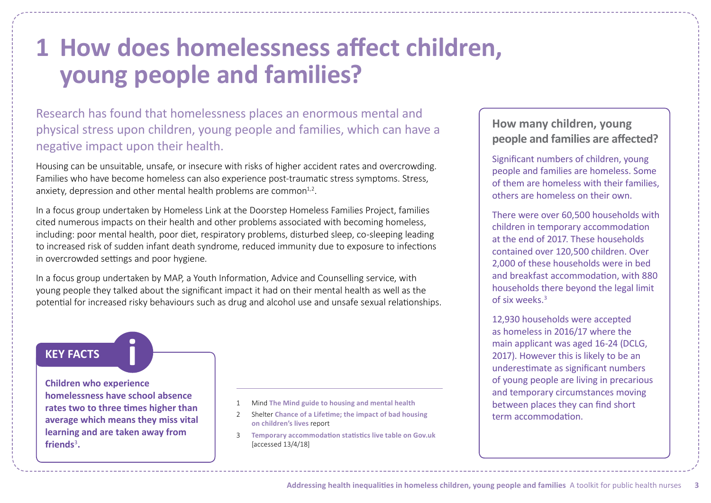# <span id="page-2-0"></span>**1 How does homelessness affect children, young people and families?**

Research has found that homelessness places an enormous mental and physical stress upon children, young people and families, which can have a negative impact upon their health.

Housing can be unsuitable, unsafe, or insecure with risks of higher accident rates and overcrowding. Families who have become homeless can also experience post-traumatic stress symptoms. Stress, anxiety, depression and other mental health problems are common $1,2$ .

In a focus group undertaken by Homeless Link at the Doorstep Homeless Families Project, families cited numerous impacts on their health and other problems associated with becoming homeless, including: poor mental health, poor diet, respiratory problems, disturbed sleep, co-sleeping leading to increased risk of sudden infant death syndrome, reduced immunity due to exposure to infections in overcrowded settings and poor hygiene.

In a focus group undertaken by [MAP,](https://www.map.uk.net/) a Youth Information, Advice and Counselling service, with young people they talked about the significant impact it had on their mental health as well as the potential for increased risky behaviours such as drug and alcohol use and unsafe sexual relationships.

## **KEY FACTS i**

**Children who experience homelessness have school absence rates two to three times higher than average which means they miss vital learning and are taken away from**  friends<sup>3</sup>.

- 1 Mind **[The Mind guide to housing and mental health](https://www.mind.org.uk/media/7500/the-mind-guide-to-housing-and-mental-health-2011.pdf)**
- 2 Shelter **[Chance of a Lifetime; the impact of bad housing](http://england.shelter.org.uk/professional_resources/policy_and_research/policy_library/policy_library_folder/chance_of_a_lifetime_-_the_impact_of_bad_housing_on_childrens_lives) on children's lives** report
- 3 **[Temporary accommodation statistics live table on Gov.uk](https://www.gov.uk/government/uploads/system/uploads/attachment_data/file/692689/Temporary_accommodation.xlsx)**  [accessed 13/4/18]

# **How many children, young people and families are affected?**

Significant numbers of children, young people and families are homeless. Some of them are homeless with their families, others are homeless on their own.

There were over 60,500 households with children in temporary accommodation at the end of 2017. These households contained over 120,500 children. Over 2,000 of these households were in bed and breakfast accommodation, with 880 households there beyond the legal limit of six weeks.3

12,930 households were accepted as homeless in 2016/17 where the main applicant was aged 16-24 (DCLG, 2017). However this is likely to be an underestimate as significant numbers of young people are living in precarious and temporary circumstances moving between places they can find short term accommodation.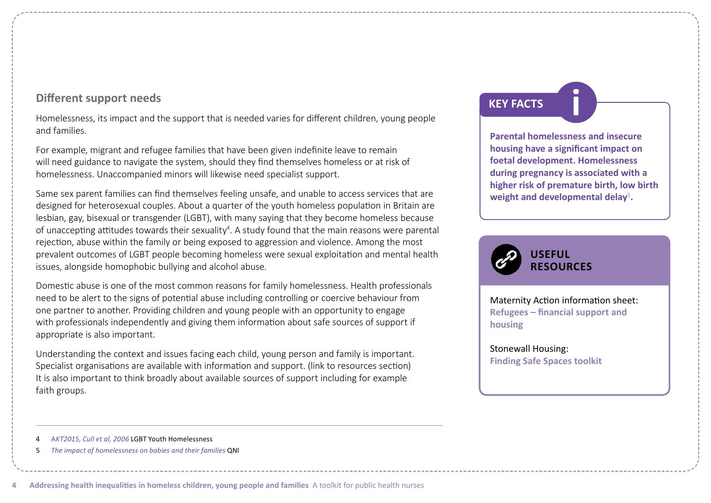## **Different support needs**

Homelessness, its impact and the support that is needed varies for different children, young people and families.

For example, migrant and refugee families that have been given indefinite leave to remain will need guidance to navigate the system, should they find themselves homeless or at risk of homelessness. Unaccompanied minors will likewise need specialist support.

Same sex parent families can find themselves feeling unsafe, and unable to access services that are designed for heterosexual couples. About a quarter of the youth homeless population in Britain are lesbian, gay, bisexual or transgender (LGBT), with many saying that they become homeless because of unaccepting attitudes towards their sexuality<sup>4</sup>. A study found that the main reasons were parental rejection, abuse within the family or being exposed to aggression and violence. Among the most prevalent outcomes of LGBT people becoming homeless were sexual exploitation and mental health issues, alongside homophobic bullying and alcohol abuse.

Domestic abuse is one of the most common reasons for family homelessness. Health professionals need to be alert to the signs of potential abuse including controlling or coercive behaviour from one partner to another. Providing children and young people with an opportunity to engage with professionals independently and giving them information about safe sources of support if appropriate is also important.

Understanding the context and issues facing each child, young person and family is important. Specialist organisations are available with information and support. (link to resources section) It is also important to think broadly about available sources of support including for example faith groups.

# **KEY FACTS i**

**Parental homelessness and insecure housing have a significant impact on foetal development. Homelessness during pregnancy is associated with a higher risk of premature birth, low birth**  weight and developmental delay<sup>5</sup>.



## Maternity Action information sheet: **[Refugees – financial support and](https://www.maternityaction.org.uk/advice-2/mums-dads-scenarios/3-women-from-abroad/refugees-financial-support-and-housing/)  housing**

Stonewall Housing: **[Finding Safe Spaces toolkit](https://stonewallhousing.org/project/finding-safe-spaces/)**

5 *[The impact of homelessness on babies and their families](https://www.qni.org.uk/wp-content/uploads/2016/09/homelessness_babies_families.pdf)* QNI

**4 Addressing health inequalities in homeless children, young people and families** A toolkit for public health nurses

<sup>4</sup> A*[KT2015, Cull et al, 2006](https://www.theproudtrust.org/wp-content/uploads/download-manager-files/AlbertKennedy_ResearchReport_Youth-Homelessness.pdf)* LGBT Youth Homelessness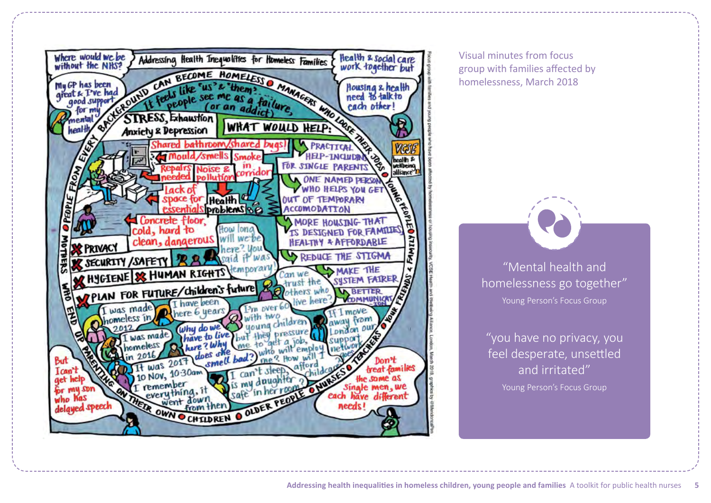

Visual minutes from focus group with families affected by homelessness, March 2018

> "Mental health and homelessness go together" Young Person's Focus Group

"you have no privacy, you feel desperate, unsettled and irritated" Young Person's Focus Group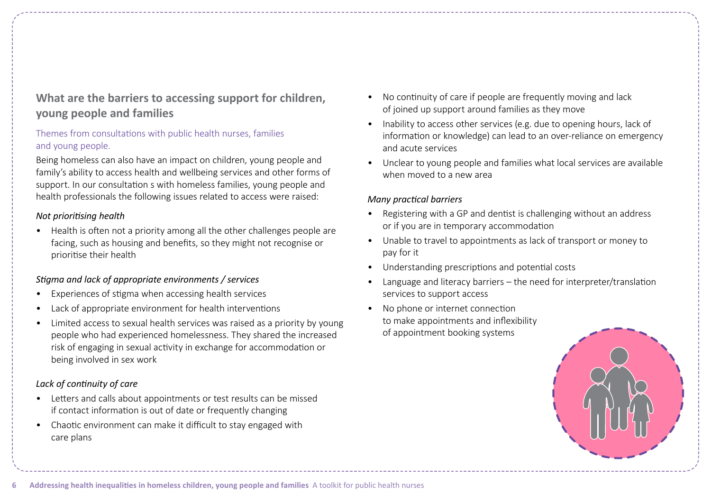# **What are the barriers to accessing support for children, young people and families**

## Themes from consultations with public health nurses, families and young people.

Being homeless can also have an impact on children, young people and family's ability to access health and wellbeing services and other forms of support. In our consultation s with homeless families, young people and health professionals the following issues related to access were raised:

#### *Not prioritising health*

• Health is often not a priority among all the other challenges people are facing, such as housing and benefits, so they might not recognise or prioritise their health

### *Stigma and lack of appropriate environments / services*

- Experiences of stigma when accessing health services
- Lack of appropriate environment for health interventions
- Limited access to sexual health services was raised as a priority by young people who had experienced homelessness. They shared the increased risk of engaging in sexual activity in exchange for accommodation or being involved in sex work

## *Lack of continuity of care*

- Letters and calls about appointments or test results can be missed if contact information is out of date or frequently changing
- Chaotic environment can make it difficult to stay engaged with care plans
- No continuity of care if people are frequently moving and lack of joined up support around families as they move
- Inability to access other services (e.g. due to opening hours, lack of information or knowledge) can lead to an over-reliance on emergency and acute services
- Unclear to young people and families what local services are available when moved to a new area

### *Many practical barriers*

- Registering with a GP and dentist is challenging without an address or if you are in temporary accommodation
- Unable to travel to appointments as lack of transport or money to pay for it
- Understanding prescriptions and potential costs
- Language and literacy barriers the need for interpreter/translation services to support access
- No phone or internet connection to make appointments and inflexibility of appointment booking systems

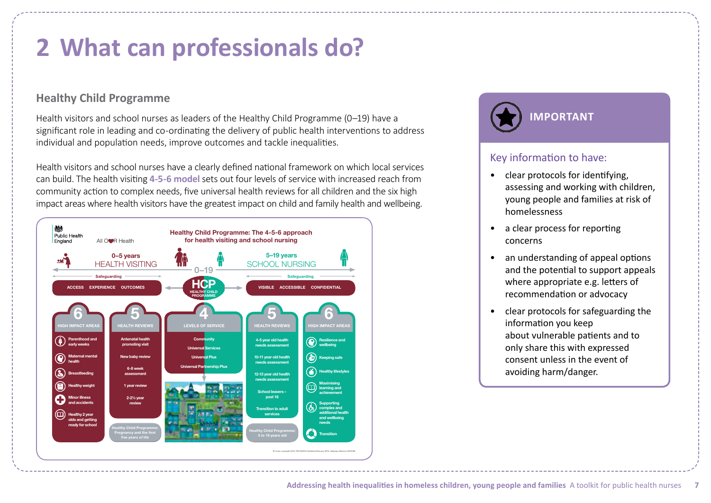# <span id="page-6-0"></span>**2 What can professionals do?**

# **Healthy Child Programme**

Health visitors and school nurses as leaders of the Healthy Child Programme (0–19) have a significant role in leading and co-ordinating the delivery of public health interventions to address individual and population needs, improve outcomes and tackle inequalities.

Health visitors and school nurses have a clearly defined national framework on which local services can build. The health visiting **[4-5-6 model](https://app.box.com/s/i0b4d3zhkpaltpau641nrbsu0t7s8qkn)** sets out four levels of service with increased reach from community action to complex needs, five universal health reviews for all children and the six high impact areas where health visitors have the greatest impact on child and family health and wellbeing.





## Key information to have:

- clear protocols for identifying, assessing and working with children, young people and families at risk of homelessness
- a clear process for reporting concerns
- an understanding of appeal options and the potential to support appeals where appropriate e.g. letters of recommendation or advocacy
- clear protocols for safeguarding the information you keep about vulnerable patients and to only share this with expressed consent unless in the event of avoiding harm/danger.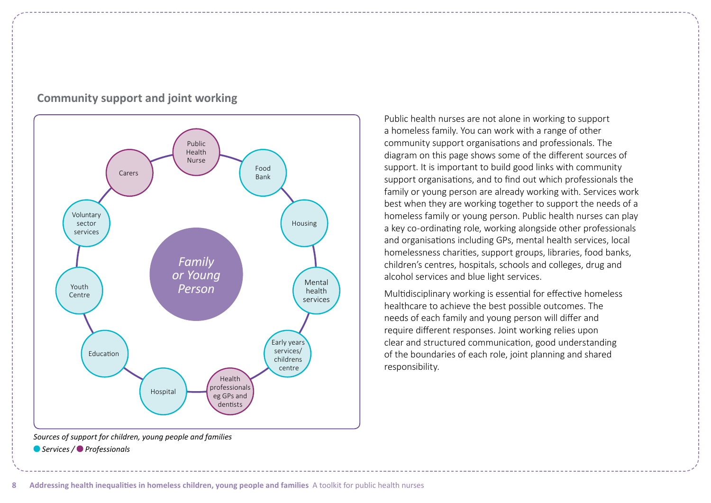

## **Community support and joint working**

*Sources of support for children, young people and families Services / Professionals*

Public health nurses are not alone in working to support a homeless family. You can work with a range of other community support organisations and professionals. The diagram on this page shows some of the different sources of support. It is important to build good links with community support organisations, and to find out which professionals the family or young person are already working with. Services work best when they are working together to support the needs of a homeless family or young person. Public health nurses can play a key co-ordinating role, working alongside other professionals and organisations including GPs, mental health services, local homelessness charities, support groups, libraries, food banks, children's centres, hospitals, schools and colleges, drug and alcohol services and blue light services.

Multidisciplinary working is essential for effective homeless healthcare to achieve the best possible outcomes. The needs of each family and young person will differ and require different responses. Joint working relies upon clear and structured communication, good understanding of the boundaries of each role, joint planning and shared responsibility.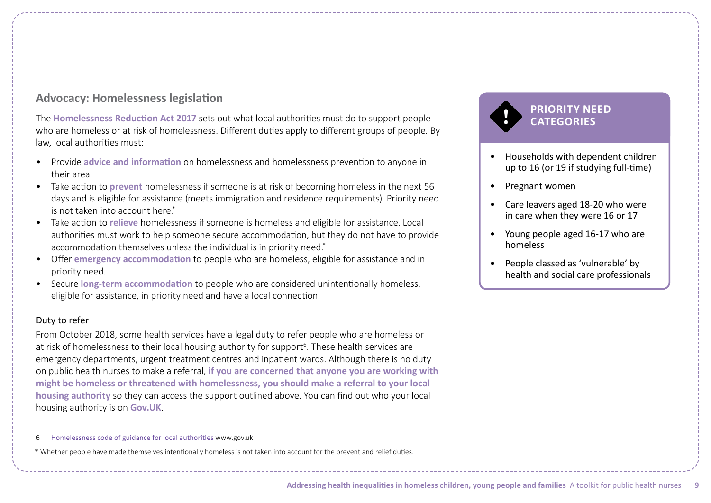## **Advocacy: Homelessness legislation**

The **[Homelessness Reduction Act 2017](http://www.legislation.gov.uk/ukpga/2017/13/contents/enacted)** sets out what local authorities must do to support people who are homeless or at risk of homelessness. Different duties apply to different groups of people. By law, local authorities must:

- Provide **advice and information** on homelessness and homelessness prevention to anyone in their area
- Take action to **prevent** homelessness if someone is at risk of becoming homeless in the next 56 days and is eligible for assistance (meets immigration and residence requirements). Priority need is not taken into account here.\*
- Take action to **relieve** homelessness if someone is homeless and eligible for assistance. Local authorities must work to help someone secure accommodation, but they do not have to provide accommodation themselves unless the individual is in priority need.\*
- Offer **emergency accommodation** to people who are homeless, eligible for assistance and in priority need.
- Secure **long-term accommodation** to people who are considered unintentionally homeless, eligible for assistance, in priority need and have a local connection.

#### Duty to refer

From October 2018, some health services have a legal duty to refer people who are homeless or at risk of homelessness to their local housing authority for support<sup>6</sup>. These health services are emergency departments, urgent treatment centres and inpatient wards. Although there is no duty on public health nurses to make a referral, **if you are concerned that anyone you are working with might be homeless or threatened with homelessness, you should make a referral to your local housing authority** so they can access the support outlined above. You can find out who your local housing authority is on **Gov.UK**.

6 [Homelessness code of guidance for local authorities](https://www.gov.uk/guidance/homelessness-code-of-guidance-for-local-authorities) www.gov.uk

\* Whether people have made themselves intentionally homeless is not taken into account for the prevent and relief duties.

# **PRIORITY NEED CATEGORIES**

- Households with dependent children up to 16 (or 19 if studying full-time)
- Pregnant women
- Care leavers aged 18-20 who were in care when they were 16 or 17
- Young people aged 16-17 who are homeless
- People classed as 'vulnerable' by health and social care professionals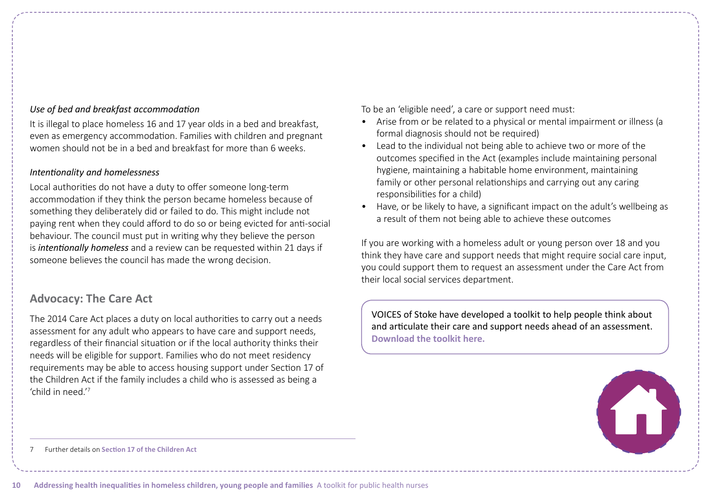#### *Use of bed and breakfast accommodation*

It is illegal to place homeless 16 and 17 year olds in a bed and breakfast, even as emergency accommodation. Families with children and pregnant women should not be in a bed and breakfast for more than 6 weeks.

### *Intentionality and homelessness*

Local authorities do not have a duty to offer someone long-term accommodation if they think the person became homeless because of something they deliberately did or failed to do. This might include not paying rent when they could afford to do so or being evicted for anti-social behaviour. The council must put in writing why they believe the person is *intentionally homeless* and a review can be requested within 21 days if someone believes the council has made the wrong decision.

## **Advocacy: The Care Act**

The 2014 Care Act places a duty on local authorities to carry out a needs assessment for any adult who appears to have care and support needs, regardless of their financial situation or if the local authority thinks their needs will be eligible for support. Families who do not meet residency requirements may be able to access housing support under Section 17 of the Children Act if the family includes a child who is assessed as being a 'child in need.'<sup>7</sup>

To be an 'eligible need', a care or support need must:

- Arise from or be related to a physical or mental impairment or illness (a formal diagnosis should not be required)
- Lead to the individual not being able to achieve two or more of the outcomes specified in the Act (examples include maintaining personal hygiene, maintaining a habitable home environment, maintaining family or other personal relationships and carrying out any caring responsibilities for a child)
- Have, or be likely to have, a significant impact on the adult's wellbeing as a result of them not being able to achieve these outcomes

If you are working with a homeless adult or young person over 18 and you think they have care and support needs that might require social care input, you could support them to request an assessment under the Care Act from their local social services department.

VOICES of Stoke have developed a toolkit to help people think about and articulate their care and support needs ahead of an assessment. **[Download the toolkit here.](https://www.homeless.org.uk/sites/default/files/site-attachments/VOICES%20Care%20Act%20Toolkit.pdf)**



7 Further details on **[Section 17 of the Children Act](https://www.legislation.gov.uk/ukpga/1989/41/section/17)**

**10 Addressing health inequalities in homeless children, young people and families** A toolkit for public health nurses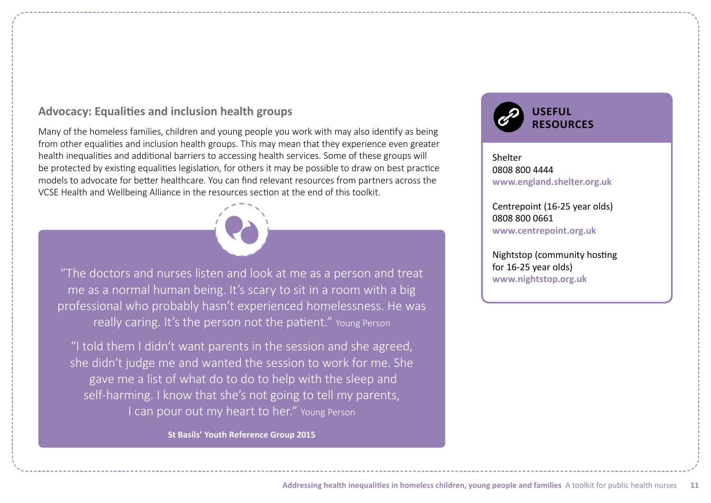## **Advocacy: Equalities and inclusion health groups**

Many of the homeless families, children and young people you work with may also identify as being from other equalities and inclusion health groups. This may mean that they experience even greater health inequalities and additional barriers to accessing health services. Some of these groups will be protected by existing equalities legislation, for others it may be possible to draw on best practice models to advocate for better healthcare. You can find relevant resources from partners across the VCSE Health and Wellbeing Alliance in the resources section at the end of this toolkit.



"The doctors and nurses listen and look at me as a person and treat me as a normal human being. It's scary to sit in a room with a big professional who probably hasn't experienced homelessness. He was really caring. It's the person not the patient." Young Person

"I told them I didn't want parents in the session and she agreed, she didn't judge me and wanted the session to work for me. She gave me a list of what do to do to help with the sleep and self-harming. I know that she's not going to tell my parents, I can pour out my heart to her." Young Person

**[St Basils' Youth Reference Group 2015](https://www.qni.org.uk/wp-content/uploads/2017/02/Youth_Reference_Group_Report_2015.pdf)**



Shelter 0808 800 4444 **[www.england.shelter.org.uk](https://england.shelter.org.uk/)** 

Centrepoint (16-25 year olds) 0808 800 0661 **[www.centrepoint.org.uk](http://www.centrepoint.org.uk)** 

Nightstop (community hosting for 16-25 year olds) **www.nightstop.org.uk**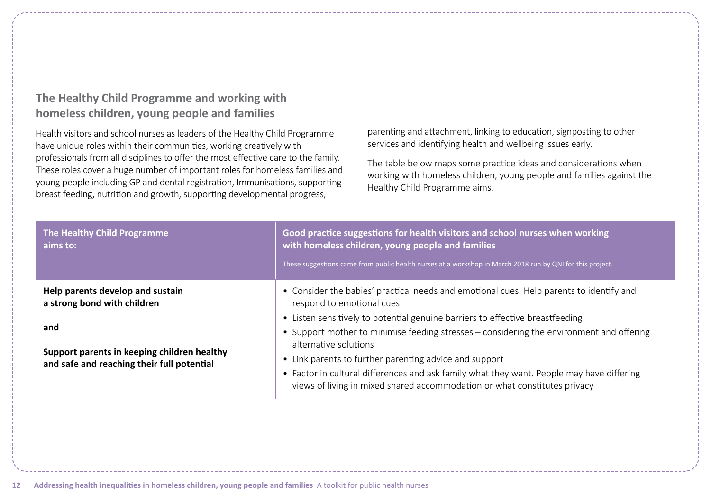# **The Healthy Child Programme and working with homeless children, young people and families**

Health visitors and school nurses as leaders of the Healthy Child Programme have unique roles within their communities, working creatively with professionals from all disciplines to offer the most effective care to the family. These roles cover a huge number of important roles for homeless families and young people including GP and dental registration, Immunisations, supporting breast feeding, nutrition and growth, supporting developmental progress,

parenting and attachment, linking to education, signposting to other services and identifying health and wellbeing issues early.

The table below maps some practice ideas and considerations when working with homeless children, young people and families against the Healthy Child Programme aims.

| The Healthy Child Programme<br>aims to:                                                   | Good practice suggestions for health visitors and school nurses when working<br>with homeless children, young people and families<br>These suggestions came from public health nurses at a workshop in March 2018 run by QNI for this project. |
|-------------------------------------------------------------------------------------------|------------------------------------------------------------------------------------------------------------------------------------------------------------------------------------------------------------------------------------------------|
| Help parents develop and sustain<br>a strong bond with children                           | • Consider the babies' practical needs and emotional cues. Help parents to identify and<br>respond to emotional cues                                                                                                                           |
|                                                                                           | • Listen sensitively to potential genuine barriers to effective breastfeeding                                                                                                                                                                  |
| and                                                                                       | • Support mother to minimise feeding stresses – considering the environment and offering<br>alternative solutions                                                                                                                              |
| Support parents in keeping children healthy<br>and safe and reaching their full potential | • Link parents to further parenting advice and support                                                                                                                                                                                         |
|                                                                                           | • Factor in cultural differences and ask family what they want. People may have differing<br>views of living in mixed shared accommodation or what constitutes privacy                                                                         |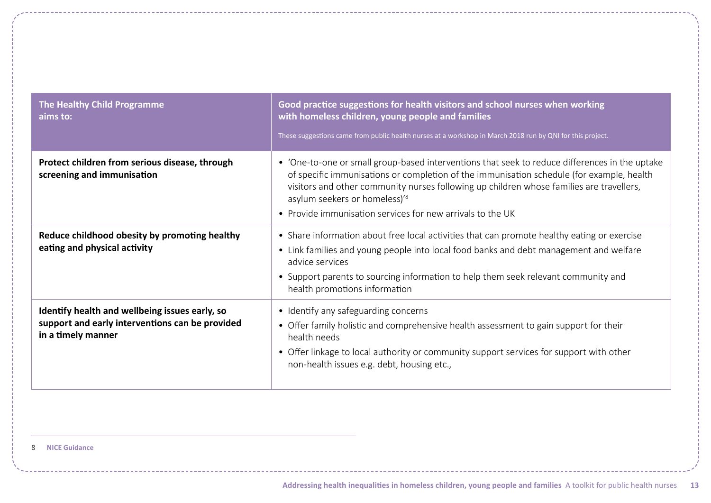| <b>The Healthy Child Programme</b><br>aims to:                                                                          | Good practice suggestions for health visitors and school nurses when working<br>with homeless children, young people and families<br>These suggestions came from public health nurses at a workshop in March 2018 run by QNI for this project.                                                                                                                                                     |
|-------------------------------------------------------------------------------------------------------------------------|----------------------------------------------------------------------------------------------------------------------------------------------------------------------------------------------------------------------------------------------------------------------------------------------------------------------------------------------------------------------------------------------------|
| Protect children from serious disease, through<br>screening and immunisation                                            | • 'One-to-one or small group-based interventions that seek to reduce differences in the uptake<br>of specific immunisations or completion of the immunisation schedule (for example, health<br>visitors and other community nurses following up children whose families are travellers,<br>asylum seekers or homeless)' <sup>8</sup><br>• Provide immunisation services for new arrivals to the UK |
| Reduce childhood obesity by promoting healthy<br>eating and physical activity                                           | • Share information about free local activities that can promote healthy eating or exercise<br>• Link families and young people into local food banks and debt management and welfare<br>advice services<br>• Support parents to sourcing information to help them seek relevant community and<br>health promotions information                                                                    |
| Identify health and wellbeing issues early, so<br>support and early interventions can be provided<br>in a timely manner | • Identify any safeguarding concerns<br>• Offer family holistic and comprehensive health assessment to gain support for their<br>health needs<br>• Offer linkage to local authority or community support services for support with other<br>non-health issues e.g. debt, housing etc.,                                                                                                             |

8 **[NICE Guidance](https://www.nice.org.uk/guidance/ph21/documents/reducing-differences-in-the-uptake-of-immunisations-final-scope2)**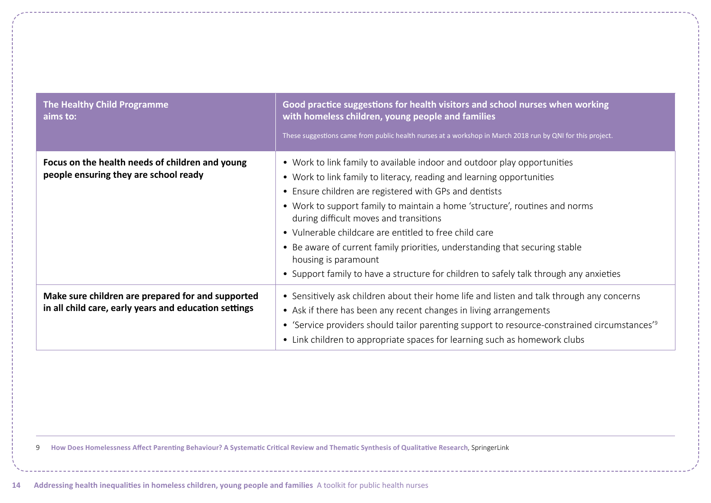| The Healthy Child Programme<br>aims to:                                                                    | Good practice suggestions for health visitors and school nurses when working<br>with homeless children, young people and families<br>These suggestions came from public health nurses at a workshop in March 2018 run by QNI for this project.                                                                                                                                                                                                                                                                                                                                                  |
|------------------------------------------------------------------------------------------------------------|-------------------------------------------------------------------------------------------------------------------------------------------------------------------------------------------------------------------------------------------------------------------------------------------------------------------------------------------------------------------------------------------------------------------------------------------------------------------------------------------------------------------------------------------------------------------------------------------------|
| Focus on the health needs of children and young<br>people ensuring they are school ready                   | • Work to link family to available indoor and outdoor play opportunities<br>• Work to link family to literacy, reading and learning opportunities<br>• Ensure children are registered with GPs and dentists<br>• Work to support family to maintain a home 'structure', routines and norms<br>during difficult moves and transitions<br>• Vulnerable childcare are entitled to free child care<br>• Be aware of current family priorities, understanding that securing stable<br>housing is paramount<br>• Support family to have a structure for children to safely talk through any anxieties |
| Make sure children are prepared for and supported<br>in all child care, early years and education settings | • Sensitively ask children about their home life and listen and talk through any concerns<br>• Ask if there has been any recent changes in living arrangements<br>• 'Service providers should tailor parenting support to resource-constrained circumstances' <sup>9</sup><br>• Link children to appropriate spaces for learning such as homework clubs                                                                                                                                                                                                                                         |

9 **[How Does Homelessness Affect Parenting Behaviour? A Systematic Critical Review and Thematic Synthesis of Qualitative Research](https://link.springer.com/article/10.1007/s10567-017-0244-3)**, SpringerLink

**14 Addressing health inequalities in homeless children, young people and families** A toolkit for public health nurses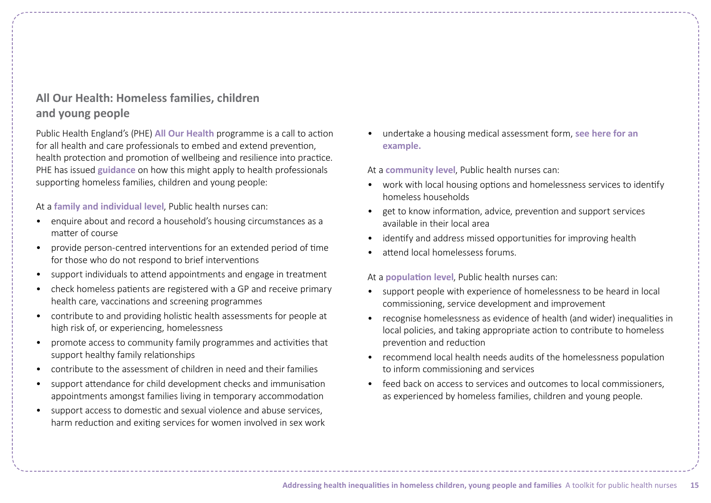# **All Our Health: Homeless families, children and young people**

Public Health England's (PHE) **[All Our Health](https://www.gov.uk/government/publications/all-our-health-about-the-framework/all-our-health-about-the-framework)** programme is a call to action for all health and care professionals to embed and extend prevention, health protection and promotion of wellbeing and resilience into practice. PHE has issued **[guidance](https://www.gov.uk/government/publications/homelessness-applying-all-our-health/homelessness-applying-all-our-health)** on how this might apply to health professionals supporting homeless families, children and young people:

At a **family and individual level**, Public health nurses can:

- enquire about and record a household's housing circumstances as a matter of course
- provide person-centred interventions for an extended period of time for those who do not respond to brief interventions
- support individuals to attend appointments and engage in treatment
- check homeless patients are registered with a GP and receive primary health care, vaccinations and screening programmes
- contribute to and providing holistic health assessments for people at high risk of, or experiencing, homelessness
- promote access to community family programmes and activities that support healthy family relationships
- contribute to the assessment of children in need and their families
- support attendance for child development checks and immunisation appointments amongst families living in temporary accommodation
- support access to domestic and sexual violence and abuse services. harm reduction and exiting services for women involved in sex work

• [undertake a housing medical assessment form,](https://www.lambeth.gov.uk/housing-and-regeneration/finding-a-home/submit-a-housing-medical-assessment-form) **see here for an example.**

At a **community level**, Public health nurses can:

- work with local housing options and homelessness services to identify homeless households
- get to know information, advice, prevention and support services available in their local area
- identify and address missed opportunities for improving health
- attend local homelessess forums.

At a **population level**, Public health nurses can:

- support people with experience of homelessness to be heard in local commissioning, service development and improvement
- recognise homelessness as evidence of health (and wider) inequalities in local policies, and taking appropriate action to contribute to homeless prevention and reduction
- recommend local health needs audits of the homelessness population to inform commissioning and services
- feed back on access to services and outcomes to local commissioners, as experienced by homeless families, children and young people.

**Addressing health inequalities in homeless children, young people and families** A toolkit for public health nurses **15**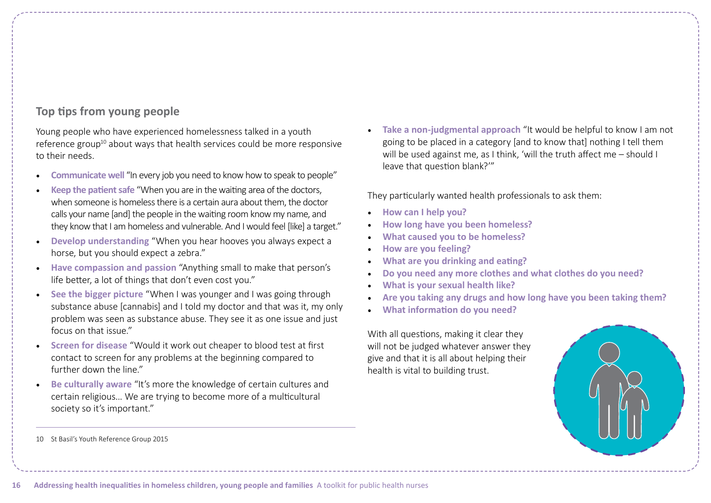# **Top tips from young people**

Young people who have experienced homelessness talked in a youth reference group<sup>10</sup> about ways that health services could be more responsive to their needs.

- **Communicate well** "In every job you need to know how to speak to people"
- **Keep the patient safe** "When you are in the waiting area of the doctors, when someone is homeless there is a certain aura about them, the doctor calls your name [and] the people in the waiting room know my name, and they know that I am homeless and vulnerable. And I would feel [like] a target."
- **Develop understanding** "When you hear hooves you always expect a horse, but you should expect a zebra."
- **Have compassion and passion** "Anything small to make that person's life better, a lot of things that don't even cost you."
- **See the bigger picture** "When I was younger and I was going through substance abuse [cannabis] and I told my doctor and that was it, my only problem was seen as substance abuse. They see it as one issue and just focus on that issue."
- **Screen for disease** "Would it work out cheaper to blood test at first contact to screen for any problems at the beginning compared to further down the line."
- **Be culturally aware** "It's more the knowledge of certain cultures and certain religious… We are trying to become more of a multicultural society so it's important."

• **Take a non-judgmental approach** "It would be helpful to know I am not going to be placed in a category [and to know that] nothing I tell them will be used against me, as I think, 'will the truth affect me – should I leave that question blank?'"

They particularly wanted health professionals to ask them:

- **How can I help you?**
- **How long have you been homeless?**
- **What caused you to be homeless?**
- **How are you feeling?**
- **What are you drinking and eating?**
- **Do you need any more clothes and what clothes do you need?**
- **What is your sexual health like?**
- **Are you taking any drugs and how long have you been taking them?**
- **What information do you need?**

With all questions, making it clear they will not be judged whatever answer they give and that it is all about helping their health is vital to building trust.



<sup>10</sup> [St Basil's Youth Reference Group 2015](https://www.qni.org.uk/wp-content/uploads/2017/02/Youth_Reference_Group_Report_2015.pdf)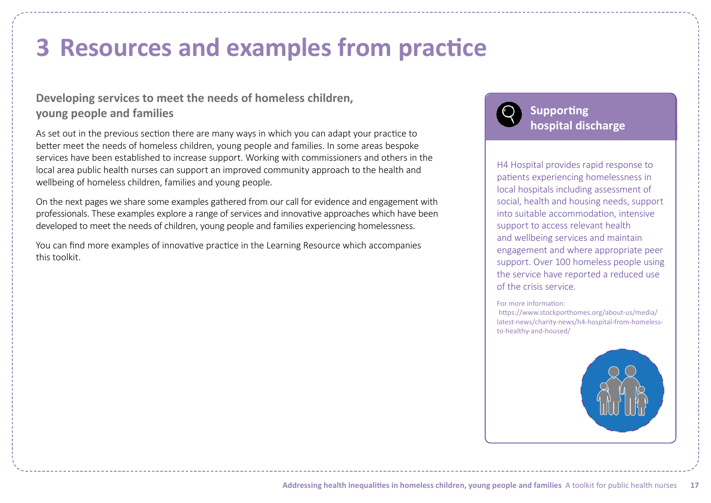# <span id="page-16-0"></span>**3 Resources and examples from practice**

# **Developing services to meet the needs of homeless children, young people and families**

As set out in the previous section there are many ways in which you can adapt your practice to better meet the needs of homeless children, young people and families. In some areas bespoke services have been established to increase support. Working with commissioners and others in the local area public health nurses can support an improved community approach to the health and wellbeing of homeless children, families and young people.

On the next pages we share some examples gathered from our call for evidence and engagement with professionals. These examples explore a range of services and innovative approaches which have been developed to meet the needs of children, young people and families experiencing homelessness.

You can find more examples of innovative practice in the Learning Resource which accompanies this toolkit.



H4 Hospital provides rapid response to patients experiencing homelessness in local hospitals including assessment of social, health and housing needs, support into suitable accommodation, intensive support to access relevant health and wellbeing services and maintain engagement and where appropriate peer support. Over 100 homeless people using the service have reported a reduced use of the crisis service.

For more information:

 https://www.stockporthomes.org/about-us/media/ [latest-news/charity-news/h4-hospital-from-homeless](https://www.stockporthomes.org/about-us/media/latest-news/charity-news/h4-hospital-from-homeless-to-healthy-and-housed/)to-healthy-and-housed/

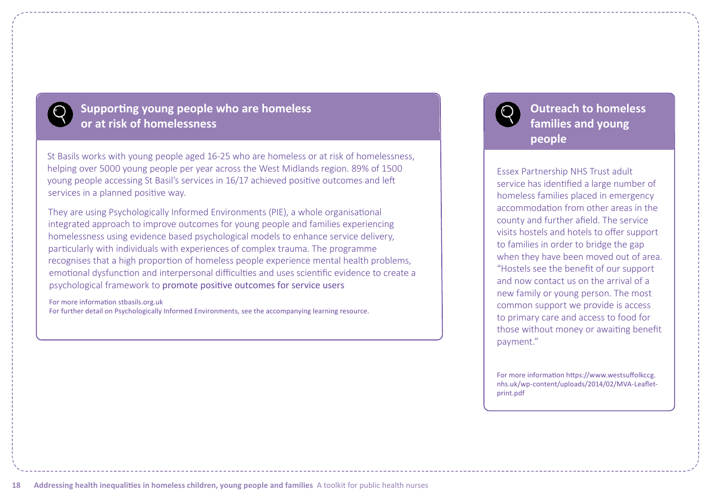

# **Supporting young people who are homeless or at risk of homelessness**

St Basils works with young people aged 16-25 who are homeless or at risk of homelessness, helping over 5000 young people per year across the West Midlands region. 89% of 1500 young people accessing St Basil's services in 16/17 achieved positive outcomes and left services in a planned positive way.

They are using Psychologically Informed Environments (PIE), a whole organisational integrated approach to improve outcomes for young people and families experiencing homelessness using evidence based psychological models to enhance service delivery, particularly with individuals with experiences of complex trauma. The programme recognises that a high proportion of homeless people experience mental health problems, emotional dysfunction and interpersonal difficulties and uses scientific evidence to create a psychological framework to promote positive outcomes for service users

For more information [stbasils.org.uk](https://stbasils.org.uk/) For further detail on Psychologically Informed Environments, see the accompanying learning resource. **Outreach to homeless families and young people**

Essex Partnership NHS Trust adult service has identified a large number of homeless families placed in emergency accommodation from other areas in the county and further afield. The service visits hostels and hotels to offer support to families in order to bridge the gap when they have been moved out of area. "Hostels see the benefit of our support and now contact us on the arrival of a new family or young person. The most common support we provide is access to primary care and access to food for those without money or awaiting benefit payment."

For more information https://www.westsuffolkccg. [nhs.uk/wp-content/uploads/2014/02/MVA-Leaflet](https://www.westsuffolkccg.nhs.uk/wp-content/uploads/2014/02/MVA-Leaflet-print.pdf)print.pdf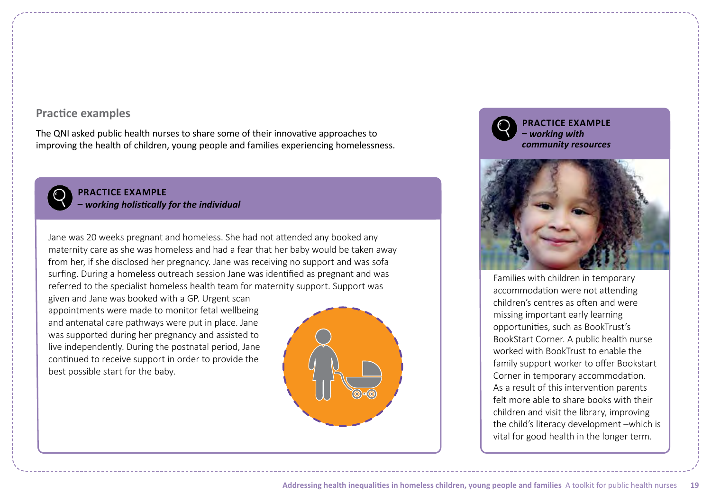## **Practice examples**

The QNI asked public health nurses to share some of their innovative approaches to improving the health of children, young people and families experiencing homelessness.



**PRACTICE EXAMPLE –** *working holistically for the individual*

Jane was 20 weeks pregnant and homeless. She had not attended any booked any maternity care as she was homeless and had a fear that her baby would be taken away from her, if she disclosed her pregnancy. Jane was receiving no support and was sofa surfing. During a homeless outreach session Jane was identified as pregnant and was referred to the specialist homeless health team for maternity support. Support was

given and Jane was booked with a GP. Urgent scan appointments were made to monitor fetal wellbeing and antenatal care pathways were put in place. Jane was supported during her pregnancy and assisted to live independently. During the postnatal period, Jane continued to receive support in order to provide the best possible start for the baby.



**PRACTICE EXAMPLE –** *working with community resources*



Families with children in temporary accommodation were not attending children's centres as often and were missing important early learning opportunities, such as BookTrust's BookStart Corner. A public health nurse worked with BookTrust to enable the family support worker to offer Bookstart Corner in temporary accommodation. As a result of this intervention parents felt more able to share books with their children and visit the library, improving the child's literacy development –which is vital for good health in the longer term.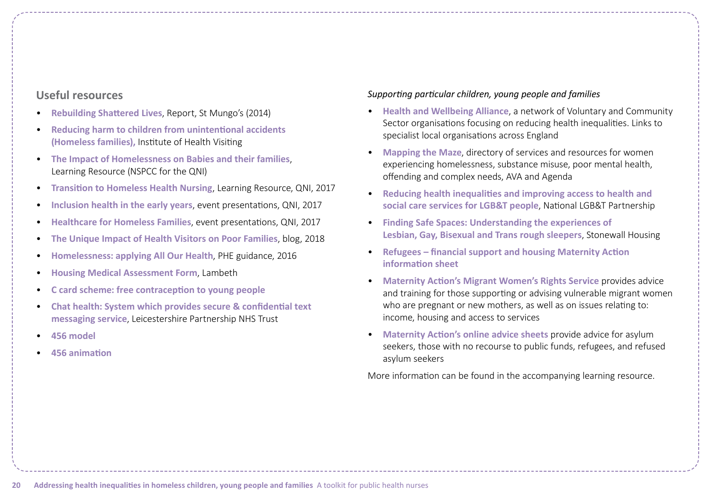## **Useful resources**

- **[Rebuilding Shattered Lives](https://www.mungos.org/publication/rebuilding-shattered-lives-final-report/)**, Report, St Mungo's (2014)
- **[Reducing harm to children from unintentional accidents](https://ihv.org.uk/news-and-views/voices/reducing-harm-children-unintentional-accidents-homeless-families/) (Homeless families),** Institute of Health Visiting
- **[The Impact of Homelessness on Babies and their families](https://www.qni.org.uk/wp-content/uploads/2016/09/homelessness_babies_families.pdf)**, Learning Resource (NSPCC for the QNI)
- **[Transition to Homeless Health Nursing](https://www.qni.org.uk/nursing-in-the-community/transition-community-nursing/homeless-health/)**, Learning Resource, QNI, 2017
- **[Inclusion health in the early years](https://www.qni.org.uk/news-and-events/events/inclusion-health-early-years/)**, event presentations, QNI, 2017
- **[Healthcare for Homeless Families](https://www.qni.org.uk/news-and-events/events/healthcare-homeless-families/)**, event presentations, QNI, 2017
- **[The Unique Impact of Health Visitors on Poor Families](https://www.qni.org.uk/2018/03/12/the-unique-impact-of-health-visitors-on-poor-families/)**, blog, 2018
- **[Homelessness: applying All Our Health](https://www.gov.uk/government/publications/homelessness-applying-all-our-health/homelessness-applying-all-our-health)**, PHE guidance, 2016
- **[Housing Medical Assessment Form](https://www.lambeth.gov.uk/housing-and-regeneration/finding-a-home/submit-a-housing-medical-assessment-form)**, Lambeth
- **[C card scheme: free contraception to young people](http://c-card.areyougettingit.com/Default.aspx)**
- **[Chat health: System which provides secure & confidential text](https://apps.beta.nhs.uk/chathealth/)  messaging service**, Leicestershire Partnership NHS Trust
- **[456 model](https://app.box.com/s/i0b4d3zhkpaltpau641nrbsu0t7s8qkn)**
- **[456 animation](https://www.youtube.com/watch?v=XI4nWBTmMfM&feature=youtu.be)**

*Supporting particular children, young people and families*

- **[Health and Wellbeing Alliance](https://www.england.nhs.uk/hwalliance/)**, a network of Voluntary and Community Sector organisations focusing on reducing health inequalities. Links to specialist local organisations across England
- **[Mapping the Maze](https://www.mappingthemaze.org.uk/)**, directory of services and resources for women experiencing homelessness, substance misuse, poor mental health, offending and complex needs, AVA and Agenda
- **[Reducing health inequalities and improving access to health and](https://nationallgbtpartnership.org/publications/homelessness-and-health/) social care services for LGB&T people**, National LGB&T Partnership
- **[Finding Safe Spaces: Understanding the experiences of](https://stonewallhousing.org/project/finding-safe-spaces/) Lesbian, Gay, Bisexual and Trans rough sleepers**, Stonewall Housing
- **[Refugees financial support and housing Maternity Action](https://www.maternityaction.org.uk/advice-2/mums-dads-scenarios/3-women-from-abroad/refugees-financial-support-and-housing/) information sheet**
- **[Maternity Action's Migrant Women's Rights Service](https://www.maternityaction.org.uk/advice-2/migrant-womens-rights-service/)** provides advice and training for those supporting or advising vulnerable migrant women who are pregnant or new mothers, as well as on issues relating to: income, housing and access to services
- **[Maternity Action's online advice sheets](https://www.maternityaction.org.uk/advice-2/advice-a-z/)** provide advice for asylum seekers, those with no recourse to public funds, refugees, and refused asylum seekers

More information can be found in the accompanying learning resource.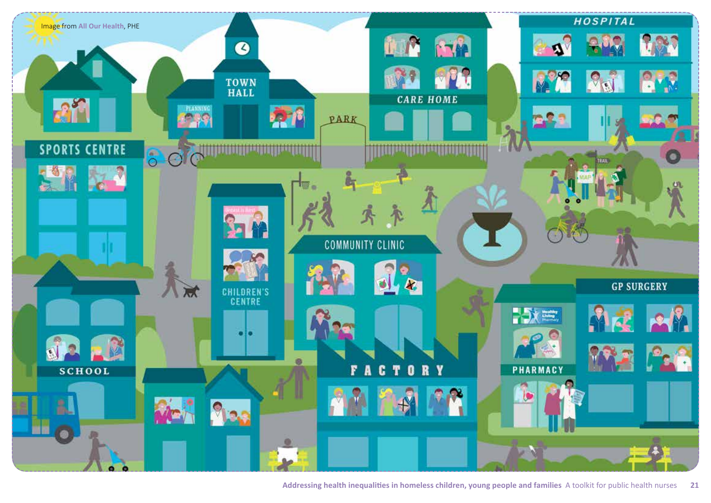